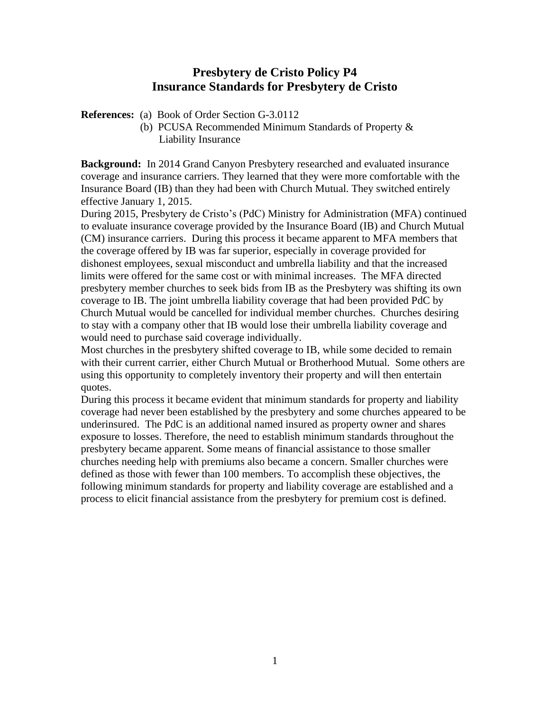## **Presbytery de Cristo Policy P4 Insurance Standards for Presbytery de Cristo**

**References:** (a) Book of Order Section G-3.0112

 (b) PCUSA Recommended Minimum Standards of Property & Liability Insurance

**Background:** In 2014 Grand Canyon Presbytery researched and evaluated insurance coverage and insurance carriers. They learned that they were more comfortable with the Insurance Board (IB) than they had been with Church Mutual. They switched entirely effective January 1, 2015.

During 2015, Presbytery de Cristo's (PdC) Ministry for Administration (MFA) continued to evaluate insurance coverage provided by the Insurance Board (IB) and Church Mutual (CM) insurance carriers. During this process it became apparent to MFA members that the coverage offered by IB was far superior, especially in coverage provided for dishonest employees, sexual misconduct and umbrella liability and that the increased limits were offered for the same cost or with minimal increases. The MFA directed presbytery member churches to seek bids from IB as the Presbytery was shifting its own coverage to IB. The joint umbrella liability coverage that had been provided PdC by Church Mutual would be cancelled for individual member churches. Churches desiring to stay with a company other that IB would lose their umbrella liability coverage and would need to purchase said coverage individually.

Most churches in the presbytery shifted coverage to IB, while some decided to remain with their current carrier, either Church Mutual or Brotherhood Mutual. Some others are using this opportunity to completely inventory their property and will then entertain quotes.

During this process it became evident that minimum standards for property and liability coverage had never been established by the presbytery and some churches appeared to be underinsured. The PdC is an additional named insured as property owner and shares exposure to losses. Therefore, the need to establish minimum standards throughout the presbytery became apparent. Some means of financial assistance to those smaller churches needing help with premiums also became a concern. Smaller churches were defined as those with fewer than 100 members. To accomplish these objectives, the following minimum standards for property and liability coverage are established and a process to elicit financial assistance from the presbytery for premium cost is defined.